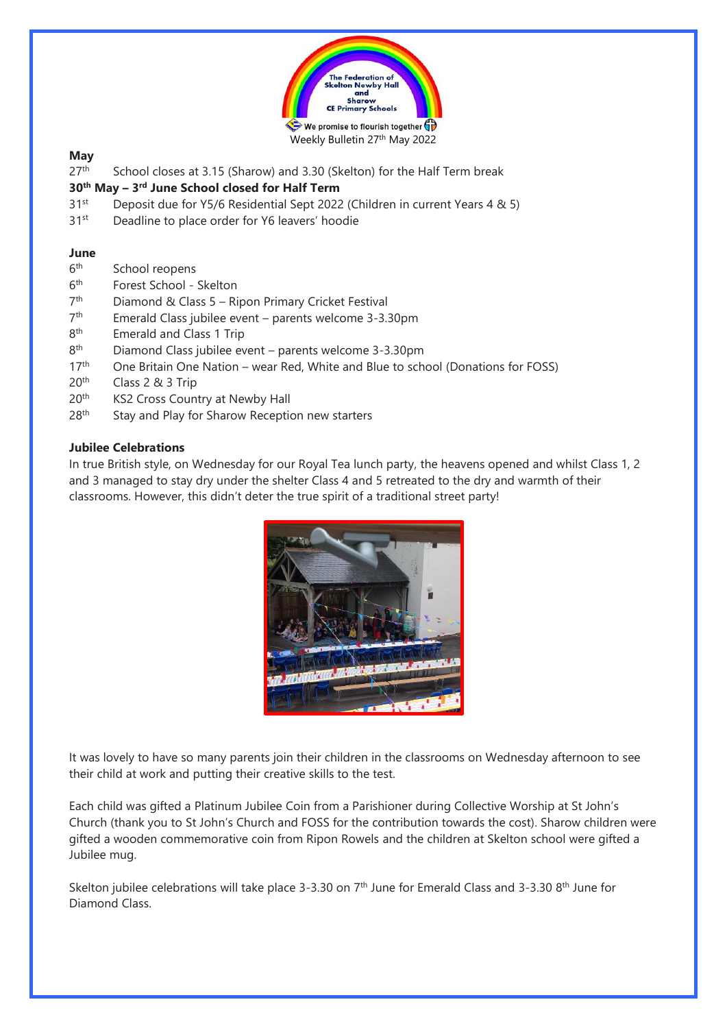

# **May**

 $27<sup>th</sup>$  School closes at 3.15 (Sharow) and 3.30 (Skelton) for the Half Term break

# **30th May – 3 rd June School closed for Half Term**

- 31st Deposit due for Y5/6 Residential Sept 2022 (Children in current Years 4 & 5)
- 31<sup>st</sup> Deadline to place order for Y6 leavers' hoodie

# **June**

- $6<sup>th</sup>$ School reopens
- $6<sup>th</sup>$ Forest School - Skelton
- 7<sup>th</sup> Diamond & Class 5 – Ripon Primary Cricket Festival
- $7<sup>th</sup>$ Emerald Class jubilee event – parents welcome 3-3.30pm
- **Rth** Emerald and Class 1 Trip
- 8<sup>th</sup> Diamond Class jubilee event – parents welcome 3-3.30pm
- 17<sup>th</sup> One Britain One Nation wear Red, White and Blue to school (Donations for FOSS)
- 20th Class 2 & 3 Trip
- 20<sup>th</sup> KS2 Cross Country at Newby Hall
- 28<sup>th</sup> Stay and Play for Sharow Reception new starters

# **Jubilee Celebrations**

In true British style, on Wednesday for our Royal Tea lunch party, the heavens opened and whilst Class 1, 2 and 3 managed to stay dry under the shelter Class 4 and 5 retreated to the dry and warmth of their classrooms. However, this didn't deter the true spirit of a traditional street party!



It was lovely to have so many parents join their children in the classrooms on Wednesday afternoon to see their child at work and putting their creative skills to the test.

Each child was gifted a Platinum Jubilee Coin from a Parishioner during Collective Worship at St John's Church (thank you to St John's Church and FOSS for the contribution towards the cost). Sharow children were gifted a wooden commemorative coin from Ripon Rowels and the children at Skelton school were gifted a Jubilee mug.

Skelton jubilee celebrations will take place 3-3.30 on  $7<sup>th</sup>$  June for Emerald Class and 3-3.30 8<sup>th</sup> June for Diamond Class.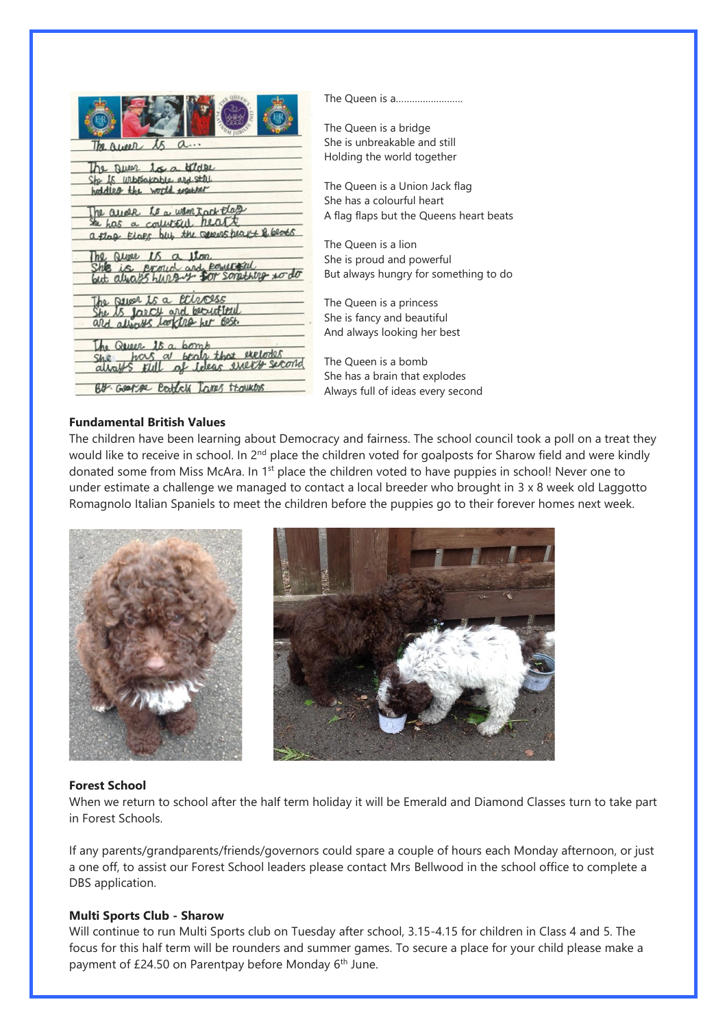|                                                                      | The Queen is a                          |
|----------------------------------------------------------------------|-----------------------------------------|
|                                                                      | The Queen is a bridge                   |
| a<br>The Ruser                                                       | She is unbreakable and still            |
|                                                                      | Holding the world together              |
| $15$ $\alpha$ of $1$ d RL<br>he Dues<br>She Is urbreakable ard stril |                                         |
| hold less the world fouther                                          | The Queen is a Union Jack flag          |
|                                                                      | She has a colourful heart               |
| he aude to a wantack that<br>the has a contribution here             | A flag flaps but the Queens heart beats |
| a flag Elaps but the general pear & beach                            |                                         |
|                                                                      | The Queen is a lion                     |
| proud and powerful                                                   | She is proud and powerful               |
|                                                                      | But always hungry for something to do   |
| he seven is a carcess                                                | The Queen is a princess                 |
| larcy and be                                                         | She is fancy and beautiful              |
|                                                                      | And always looking her best             |
| Queer 15 a pomp                                                      |                                         |
| a brain that exclodes<br>hous                                        | The Queen is a bomb                     |
|                                                                      | She has a brain that explodes           |
| ttawkles<br>$HM \cdot GOP$                                           | Always full of ideas every second       |
|                                                                      |                                         |

# **Fundamental British Values**

The children have been learning about Democracy and fairness. The school council took a poll on a treat they would like to receive in school. In 2<sup>nd</sup> place the children voted for goalposts for Sharow field and were kindly donated some from Miss McAra. In 1<sup>st</sup> place the children voted to have puppies in school! Never one to under estimate a challenge we managed to contact a local breeder who brought in 3 x 8 week old Laggotto Romagnolo Italian Spaniels to meet the children before the puppies go to their forever homes next week.





## **Forest School**

When we return to school after the half term holiday it will be Emerald and Diamond Classes turn to take part in Forest Schools.

If any parents/grandparents/friends/governors could spare a couple of hours each Monday afternoon, or just a one off, to assist our Forest School leaders please contact Mrs Bellwood in the school office to complete a DBS application.

## **Multi Sports Club - Sharow**

Will continue to run Multi Sports club on Tuesday after school, 3.15-4.15 for children in Class 4 and 5. The focus for this half term will be rounders and summer games. To secure a place for your child please make a payment of £24.50 on Parentpay before Monday 6<sup>th</sup> June.